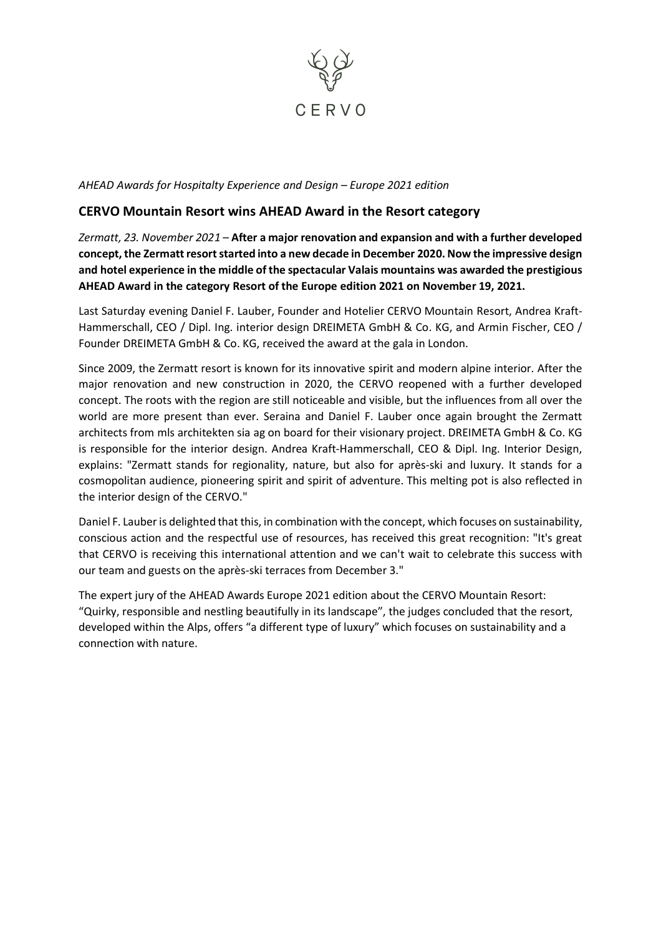

*AHEAD Awards for Hospitalty Experience and Design – Europe 2021 edition*

## **CERVO Mountain Resort wins AHEAD Award in the Resort category**

*Zermatt, 23. November 2021* – **After a major renovation and expansion and with a further developed concept, the Zermattresortstarted into a new decade in December 2020. Now the impressive design and hotel experience in the middle of the spectacular Valais mountains was awarded the prestigious AHEAD Award in the category Resort of the Europe edition 2021 on November 19, 2021.**

Last Saturday evening Daniel F. Lauber, Founder and Hotelier CERVO Mountain Resort, Andrea Kraft-Hammerschall, CEO / Dipl. Ing. interior design DREIMETA GmbH & Co. KG, and Armin Fischer, CEO / Founder DREIMETA GmbH & Co. KG, received the award at the gala in London.

Since 2009, the Zermatt resort is known for its innovative spirit and modern alpine interior. After the major renovation and new construction in 2020, the CERVO reopened with a further developed concept. The roots with the region are still noticeable and visible, but the influences from all over the world are more present than ever. Seraina and Daniel F. Lauber once again brought the Zermatt architects from mls architekten sia ag on board for their visionary project. DREIMETA GmbH & Co. KG is responsible for the interior design. Andrea Kraft-Hammerschall, CEO & Dipl. Ing. Interior Design, explains: "Zermatt stands for regionality, nature, but also for après-ski and luxury. It stands for a cosmopolitan audience, pioneering spirit and spirit of adventure. This melting pot is also reflected in the interior design of the CERVO."

Daniel F. Lauberis delighted that this, in combination with the concept, which focuses on sustainability, conscious action and the respectful use of resources, has received this great recognition: "It's great that CERVO is receiving this international attention and we can't wait to celebrate this success with our team and guests on the après-ski terraces from December 3."

The expert jury of the AHEAD Awards Europe 2021 edition about the CERVO Mountain Resort: "Quirky, responsible and nestling beautifully in its landscape", the judges concluded that the resort, developed within the Alps, offers "a different type of luxury" which focuses on sustainability and a connection with nature.